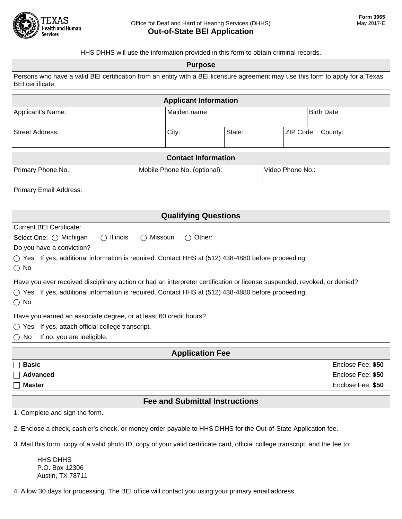

HHS DHHS will use the information provided in this form to obtain criminal records.

| i ii io bi ii io wili use the imbiniation provided in this form to obtain chrimial records.<br><b>Purpose</b>                                                                                                                                                                                                                                                                                                                                                                                                                                                                                                                                                                                                          |                              |             |                  |                                                             |  |
|------------------------------------------------------------------------------------------------------------------------------------------------------------------------------------------------------------------------------------------------------------------------------------------------------------------------------------------------------------------------------------------------------------------------------------------------------------------------------------------------------------------------------------------------------------------------------------------------------------------------------------------------------------------------------------------------------------------------|------------------------------|-------------|------------------|-------------------------------------------------------------|--|
| Persons who have a valid BEI certification from an entity with a BEI licensure agreement may use this form to apply for a Texas<br>BEI certificate.                                                                                                                                                                                                                                                                                                                                                                                                                                                                                                                                                                    |                              |             |                  |                                                             |  |
| <b>Applicant Information</b>                                                                                                                                                                                                                                                                                                                                                                                                                                                                                                                                                                                                                                                                                           |                              |             |                  |                                                             |  |
| Applicant's Name:                                                                                                                                                                                                                                                                                                                                                                                                                                                                                                                                                                                                                                                                                                      |                              | Maiden name |                  | <b>Birth Date:</b>                                          |  |
| <b>Street Address:</b>                                                                                                                                                                                                                                                                                                                                                                                                                                                                                                                                                                                                                                                                                                 | City:                        | State:      | ZIP Code:        | County:                                                     |  |
| <b>Contact Information</b>                                                                                                                                                                                                                                                                                                                                                                                                                                                                                                                                                                                                                                                                                             |                              |             |                  |                                                             |  |
| Primary Phone No.:                                                                                                                                                                                                                                                                                                                                                                                                                                                                                                                                                                                                                                                                                                     | Mobile Phone No. (optional): |             | Video Phone No.: |                                                             |  |
| Primary Email Address:                                                                                                                                                                                                                                                                                                                                                                                                                                                                                                                                                                                                                                                                                                 |                              |             |                  |                                                             |  |
| <b>Qualifying Questions</b>                                                                                                                                                                                                                                                                                                                                                                                                                                                                                                                                                                                                                                                                                            |                              |             |                  |                                                             |  |
| <b>Current BEI Certificate:</b><br>Select One: ( Michigan<br>$\bigcirc$ Illinois<br>Missouri<br>$\bigcirc$ Other:<br>Do you have a conviction?<br>$\circlearrowright$ Yes If yes, additional information is required. Contact HHS at (512) 438-4880 before proceeding.<br>$\bigcirc$ No<br>Have you ever received disciplinary action or had an interpreter certification or license suspended, revoked, or denied?<br>$\circ$ Yes If yes, additional information is required. Contact HHS at (512) 438-4880 before proceeding.<br>$\circ$ No<br>Have you earned an associate degree, or at least 60 credit hours?<br>◯ Yes If yes, attach official college transcript.<br>If no, you are ineligible.<br>$\bigcirc$ No |                              |             |                  |                                                             |  |
| <b>Application Fee</b>                                                                                                                                                                                                                                                                                                                                                                                                                                                                                                                                                                                                                                                                                                 |                              |             |                  |                                                             |  |
| <b>Basic</b><br><b>Advanced</b><br><b>Master</b>                                                                                                                                                                                                                                                                                                                                                                                                                                                                                                                                                                                                                                                                       |                              |             |                  | Enclose Fee: \$50<br>Enclose Fee: \$50<br>Enclose Fee: \$50 |  |
| <b>Fee and Submittal Instructions</b>                                                                                                                                                                                                                                                                                                                                                                                                                                                                                                                                                                                                                                                                                  |                              |             |                  |                                                             |  |
| 1. Complete and sign the form.<br>2. Enclose a check, cashier's check, or money order payable to HHS DHHS for the Out-of-State Application fee.<br>3. Mail this form, copy of a valid photo ID, copy of your valid certificate card, official college transcript, and the fee to:                                                                                                                                                                                                                                                                                                                                                                                                                                      |                              |             |                  |                                                             |  |

HHS DHHS P.O. Box 12306 Austin, TX 78711

4. Allow 30 days for processing. The BEI office will contact you using your primary email address.